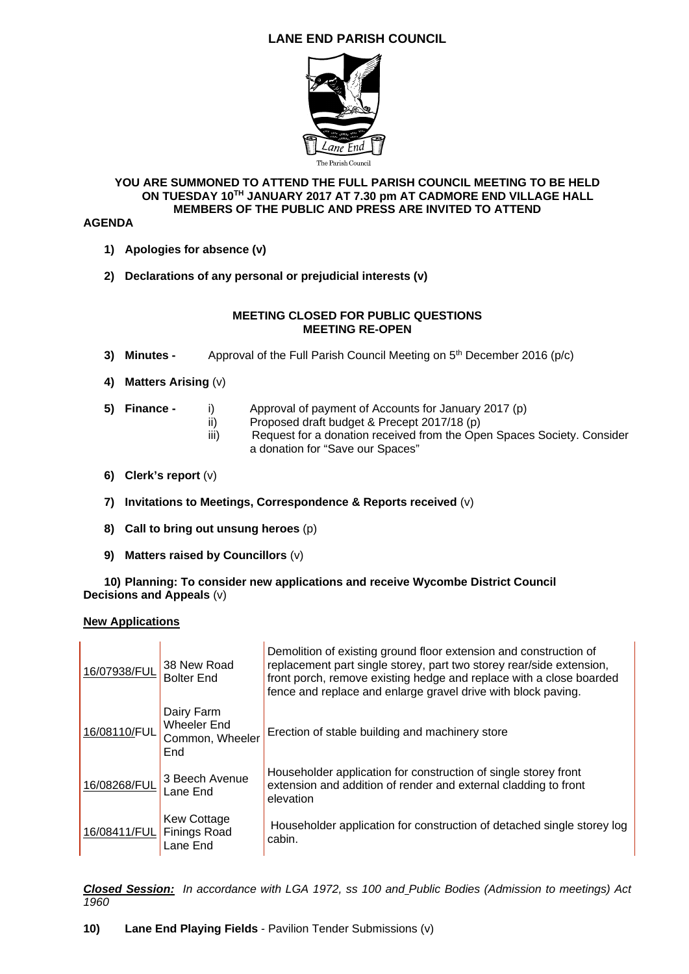# **LANE END PARISH COUNCIL**



## **YOU ARE SUMMONED TO ATTEND THE FULL PARISH COUNCIL MEETING TO BE HELD ON TUESDAY 10TH JANUARY 2017 AT 7.30 pm AT CADMORE END VILLAGE HALL MEMBERS OF THE PUBLIC AND PRESS ARE INVITED TO ATTEND**

## **AGENDA**

- **1) Apologies for absence (v)**
- **2) Declarations of any personal or prejudicial interests (v)**

## **MEETING CLOSED FOR PUBLIC QUESTIONS MEETING RE-OPEN**

- **3) Minutes -** Approval of the Full Parish Council Meeting on 5<sup>th</sup> December 2016 (p/c)
- **4) Matters Arising** (v)
- **5) Finance** i) Approval of payment of Accounts for January 2017 (p)
	- ii) Proposed draft budget & Precept 2017/18 (p)
	- iii) Request for a donation received from the Open Spaces Society. Consider a donation for "Save our Spaces"
- **6) Clerk's report** (v)
- **7) Invitations to Meetings, Correspondence & Reports received** (v)
- **8) Call to bring out unsung heroes** (p)
- **9) Matters raised by Councillors** (v)

**10) Planning: To consider new applications and receive Wycombe District Council Decisions and Appeals** (v)

## **New Applications**

| 16/07938/FUL | 38 New Road<br><b>Bolter End</b>                           | Demolition of existing ground floor extension and construction of<br>replacement part single storey, part two storey rear/side extension,<br>front porch, remove existing hedge and replace with a close boarded<br>fence and replace and enlarge gravel drive with block paving. |
|--------------|------------------------------------------------------------|-----------------------------------------------------------------------------------------------------------------------------------------------------------------------------------------------------------------------------------------------------------------------------------|
| 16/08110/FUL | Dairy Farm<br><b>Wheeler End</b><br>Common, Wheeler<br>End | Erection of stable building and machinery store                                                                                                                                                                                                                                   |
| 16/08268/FUL | 3 Beech Avenue<br>Lane End                                 | Householder application for construction of single storey front<br>extension and addition of render and external cladding to front<br>elevation                                                                                                                                   |
| 16/08411/FUL | <b>Kew Cottage</b><br><b>Finings Road</b><br>Lane End      | Householder application for construction of detached single storey log<br>cabin.                                                                                                                                                                                                  |

*Closed Session: In accordance with LGA 1972, ss 100 and Public Bodies (Admission to meetings) Act 1960*